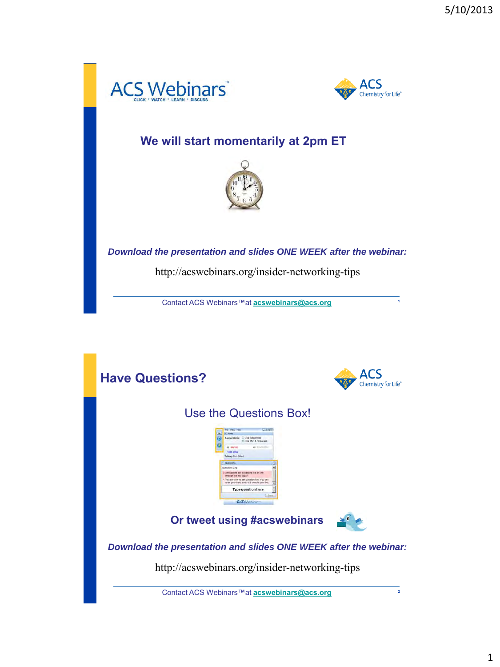



**1**

### **We will start momentarily at 2pm ET**



*Download the presentation and slides ONE WEEK after the webinar:*

http://acswebinars.org/insider-networking-tips

Contact ACS Webinars™at **[acswebinars@acs.org](mailto:acswebinars@acs.org)**

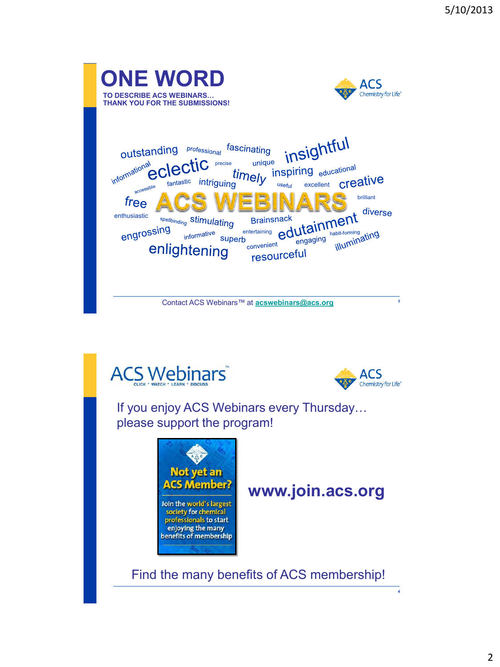





**4**

If you enjoy ACS Webinars every Thursday… please support the program!



## **www.join.acs.org**

Find the many benefits of ACS membership!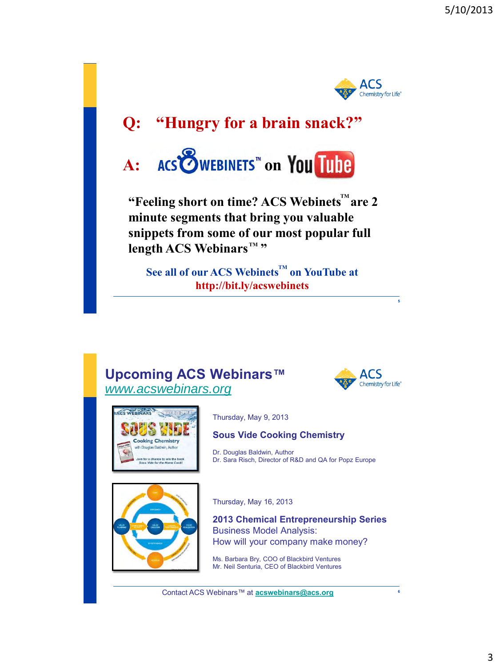

## **Q: "Hungry for a brain snack?"**



"Feeling short on time? ACS Webinets<sup>™</sup>are 2 **minute segments that bring you valuable snippets from some of our most popular full length ACS Webinars™ "** 

 $\mathbf{See}$  all of our ACS Webinets<sup>™</sup> on YouTube at **http://bit.ly/acswebinets**

#### **Upcoming ACS Webinars™** *[www.acswebinars.org](http://www.acswebinars.org/)*



**5**



Thursday, May 9, 2013

#### **Sous Vide Cooking Chemistry**

Dr. Douglas Baldwin, Author Dr. Sara Risch, Director of R&D and QA for Popz Europe



Thursday, May 16, 2013

**2013 Chemical Entrepreneurship Series** Business Model Analysis: How will your company make money?

Ms. Barbara Bry, COO of Blackbird Ventures Mr. Neil Senturia, CEO of Blackbird Ventures

Contact ACS Webinars™ at **[acswebinars@acs.org](mailto:acswebinars@acs.org) <sup>6</sup>**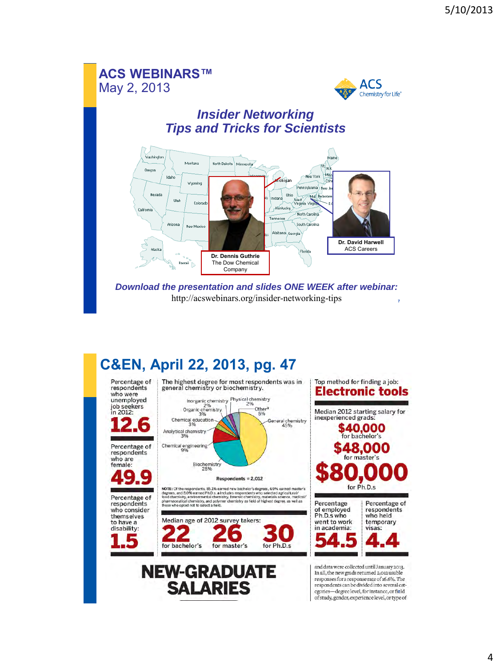### **ACS WEBINARS™** May 2, 2013



#### *Insider Networking Tips and Tricks for Scientists*



*Download the presentation and slides ONE WEEK after webinar:*  http://acswebinars.org/insider-networking-tips **7**

## **C&EN, April 22, 2013, pg. 47**

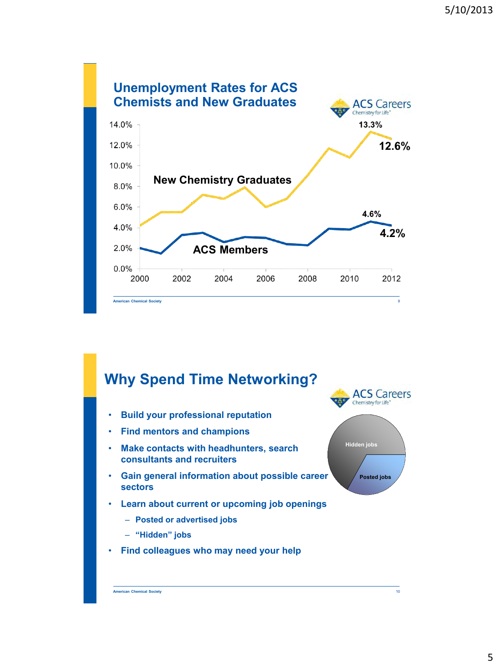

### **Why Spend Time Networking?**

- **Build your professional reputation**
- **Find mentors and champions**
- **Make contacts with headhunters, search consultants and recruiters**
- **Gain general information about possible career sectors**
- **Learn about current or upcoming job openings**
	- **Posted or advertised jobs**
	- **"Hidden" jobs**
- **Find colleagues who may need your help**





**Hidden jobs**

**Posted jobs**

**ACS Careers** Chemistry for Life"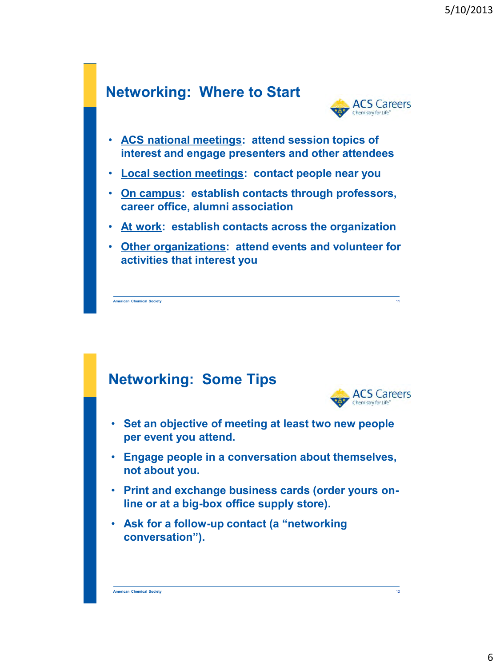### **Networking: Where to Start**



- **ACS national meetings: attend session topics of interest and engage presenters and other attendees**
- **Local section meetings: contact people near you**
- **On campus: establish contacts through professors, career office, alumni association**
- **At work: establish contacts across the organization**
- **Other organizations: attend events and volunteer for activities that interest you**

**American Chemical Society**

### **Networking: Some Tips**



11

- **Set an objective of meeting at least two new people per event you attend.**
- **Engage people in a conversation about themselves, not about you.**
- **Print and exchange business cards (order yours online or at a big-box office supply store).**
- **Ask for a follow-up contact (a "networking conversation").**

**American Chemical Society**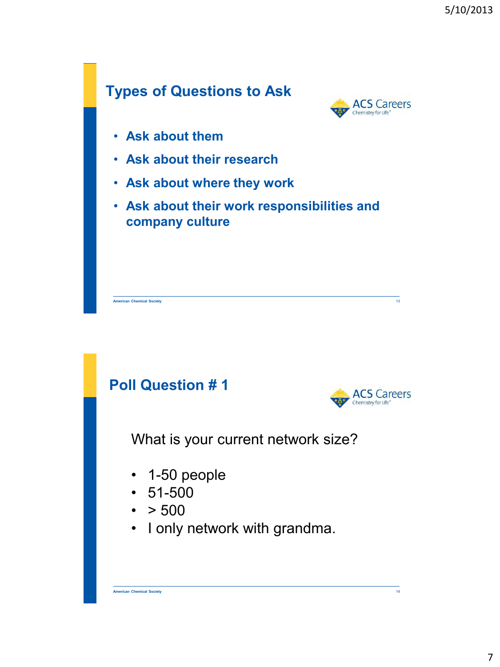# **Types of Questions to Ask**



- **Ask about them**
- **Ask about their research**
- **Ask about where they work**
- **Ask about their work responsibilities and company culture**

**American Chemical Society** 13

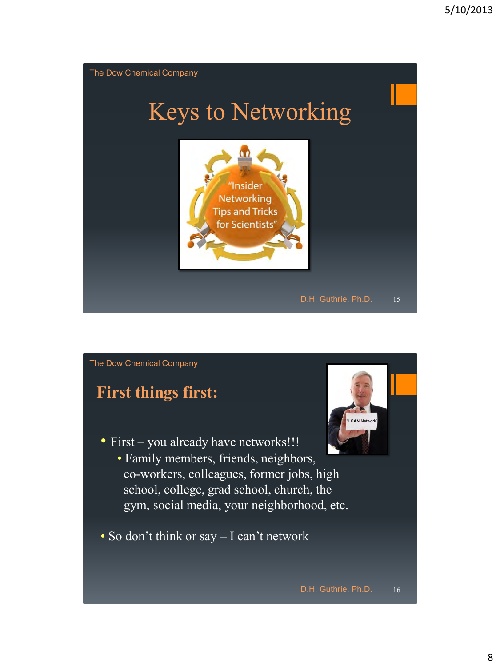

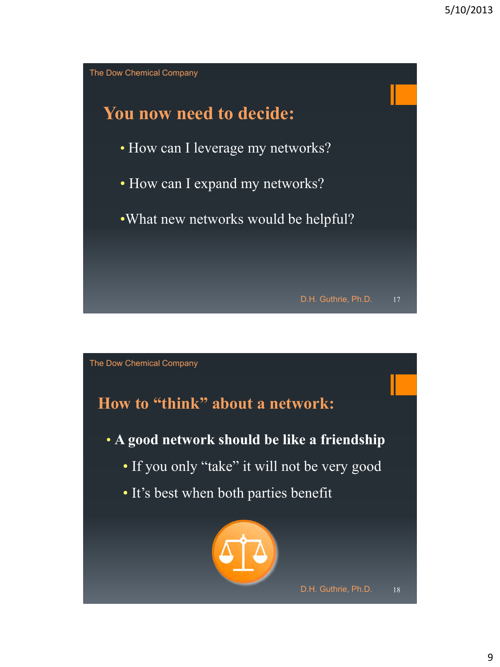

The Dow Chemical Company

## **How to "think" about a network:**

- **A good network should be like a friendship**
	- If you only "take" it will not be very good
	- It's best when both parties benefit



D.H. Guthrie, Ph.D. 18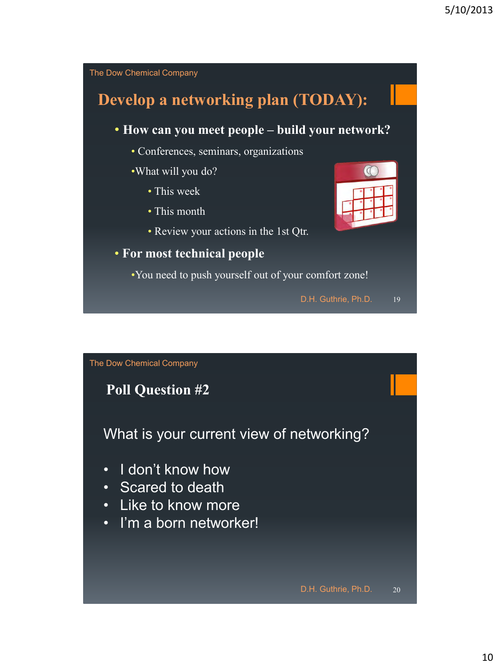

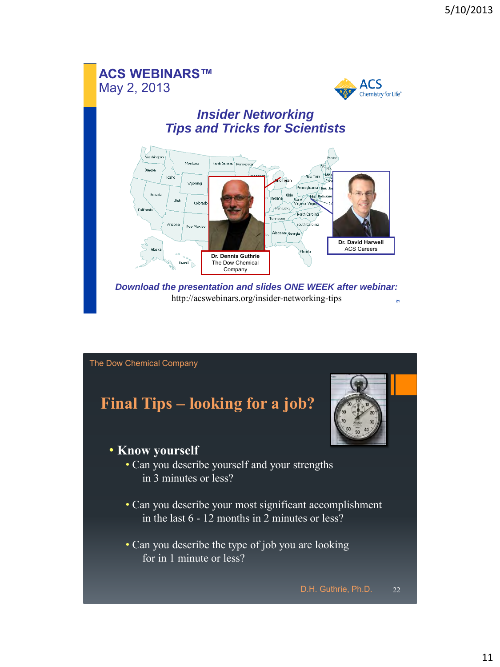### **ACS WEBINARS™** May 2, 2013



### *Insider Networking Tips and Tricks for Scientists*



*Download the presentation and slides ONE WEEK after webinar:*  http://acswebinars.org/insider-networking-tips **21**

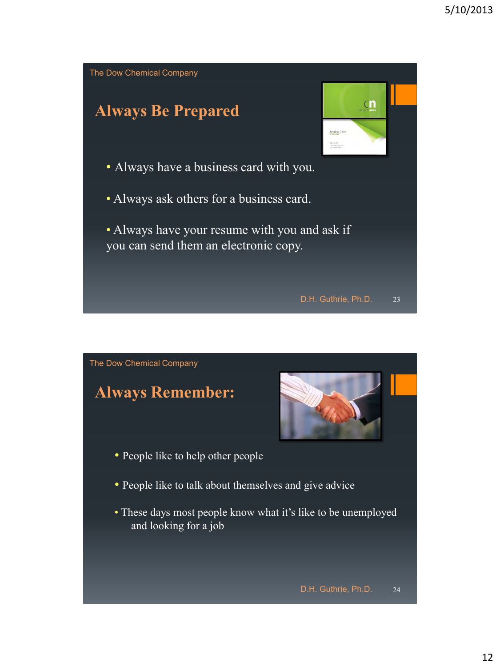

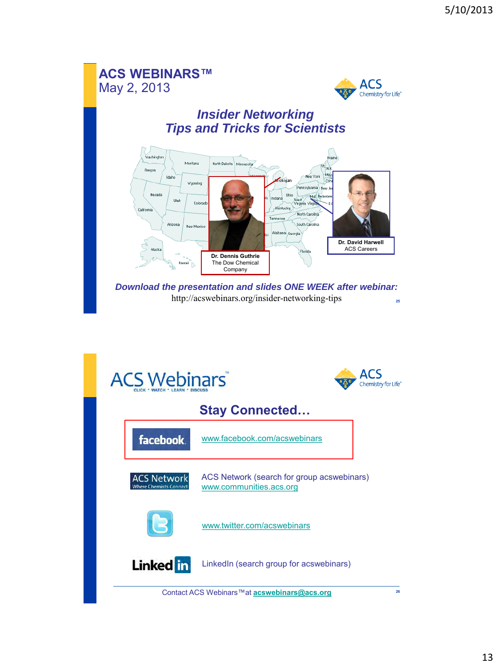### **ACS WEBINARS™** May 2, 2013



### *Insider Networking Tips and Tricks for Scientists*



*Download the presentation and slides ONE WEEK after webinar:*  http://acswebinars.org/insider-networking-tips **25**

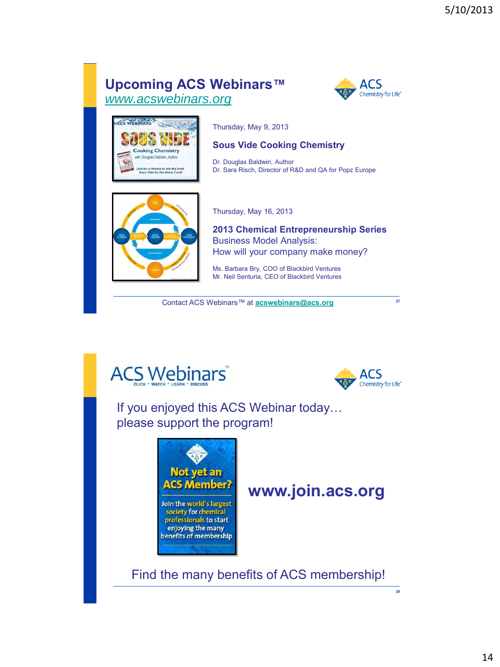### **Upcoming ACS Webinars™** *[www.acswebinars.org](http://www.acswebinars.org/)*





Thursday, May 9, 2013

#### **Sous Vide Cooking Chemistry**

Dr. Douglas Baldwin, Author Dr. Sara Risch, Director of R&D and QA for Popz Europe



Thursday, May 16, 2013

**2013 Chemical Entrepreneurship Series** Business Model Analysis: How will your company make money?

Ms. Barbara Bry, COO of Blackbird Ventures Mr. Neil Senturia, CEO of Blackbird Ventures

Contact ACS Webinars™ at **[acswebinars@acs.org](mailto:acswebinars@acs.org) <sup>27</sup>**





**28**

If you enjoyed this ACS Webinar today… please support the program!



### **www.join.acs.org**

Find the many benefits of ACS membership!